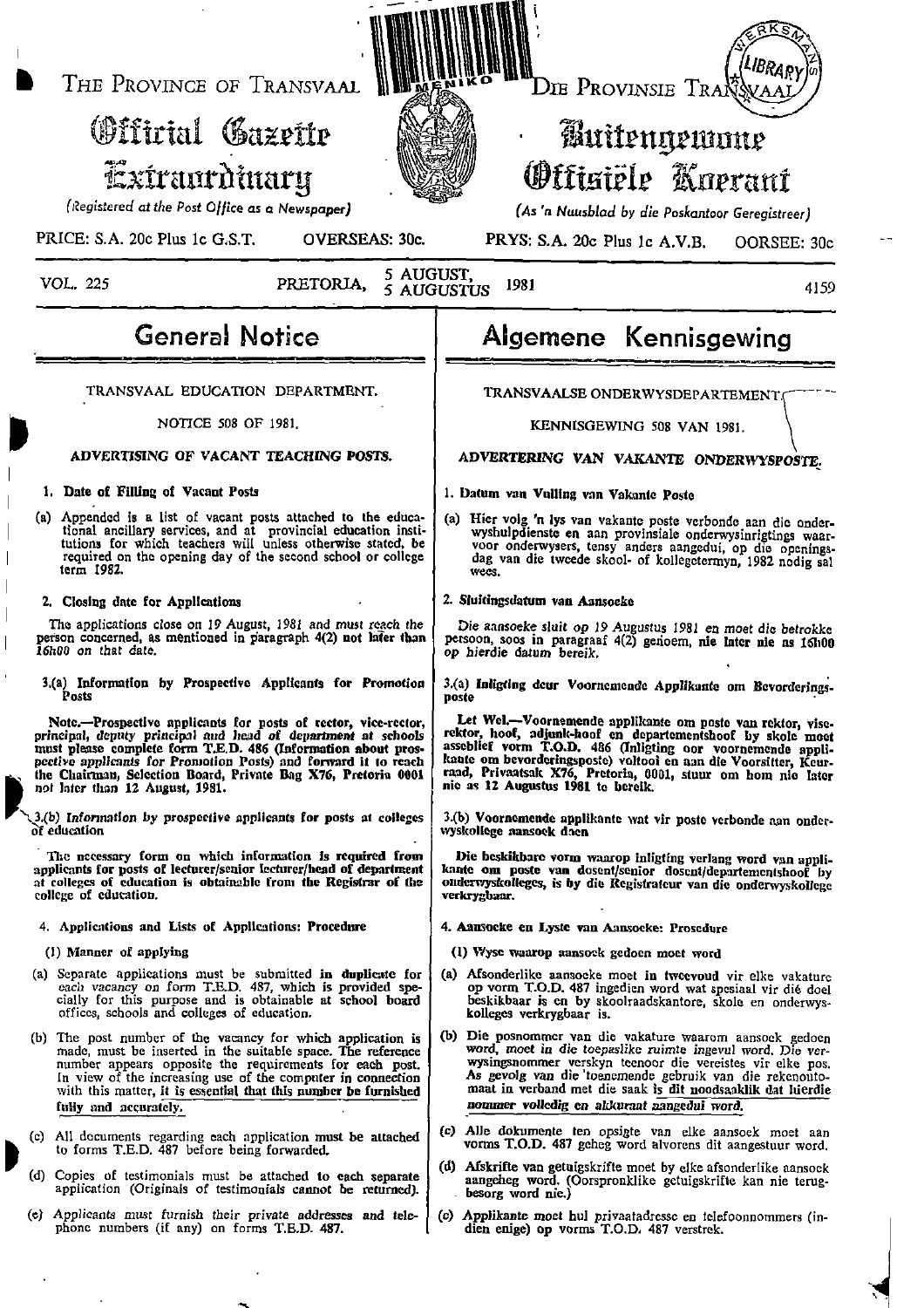THE PROVINCE OF TRANSVAAL

# Offirial Gazette Extraordinary

(Registered at the Post Office as a Newspaper)

PRICE: S.A. 20c Plus 1c G.S.T. **OVERSEAS: 30c.** 

**VOL. 225** 

#### 5 AUGUST. PRETORIA. 1981 5 AUGUSTUS

Die Provinsie Traßs

## Buitengewone **Officiële Koerani**

(As 'n Nuusblad by die Poskantoor Geregistreer)

PRYS: S.A. 20c Plus 1c A.V.B. OORSEE: 30c

4159

### **General Notice**

TRANSVAAL EDUCATION DEPARTMENT.

#### NOTICE 508 OF 1981.

#### ADVERTISING OF VACANT TEACHING POSTS.

#### 1. Date of Filling of Vacant Posts

(a) Appended is a list of vacant posts attached to the educational ancillary services, and at provincial education institutions for which teachers will unless otherwise stated, be required on the opening day of the second school or college term 1982.

#### 2. Closing date for Applications

The applications close on 19 August, 1981 and must reach the Finally concerned, as mentioned in paragraph 4(2) not later than<br>16h00 on that date,

3.(a) Information by Prospective Applicants for Promotion Posts

Note.--Prospective applicants for posts of rector, vice-rector, principal, deputy principal and head of department at schools must please complete form T.E.D. 486 (Information about prospective applicants for Promotion Posts) and forward it to reach the Chairman, Selection Board, Private Bag X76, Pretoria 0001 not later than 12 August, 1981.

3.(b) Information by prospective applicants for posts at colleges of education

The necessary form on which information is required from<br>applicants for posts of lecturer/senior lecturer/head of department at colleges of education is obtainable from the Registrar of the college of education.

4. Applications and Lists of Applications: Procedure

(1) Manner of applying

- (a) Separate applications must be submitted in duplicate for each vacancy on form T.E.D. 487, which is provided specially for this purpose and is obtainable at school board offices, schools and colleges of education.
- (b) The post number of the vacancy for which application is made, must be inserted in the suitable space. The reference number appears opposite the requirements for each post. In view of the increasing use of the computer in connection<br>with this matter, it is essential that this number be furnished fully and accurately.
- (c) All documents regarding each application must be attached to forms T.E.D. 487 before being forwarded.
- (d) Copies of testimonials must be attached to each separate application (Originals of testimonials cannot be returned).
- (e) Applicants must furnish their private addresses and telephone numbers (if any) on forms T.E.D. 487.

### Algemene Kennisgewing

TRANSVAALSE ONDERWYSDEPARTEMENT.

KENNISGEWING 508 VAN 1981.

ADVERTERING VAN VAKANTE ONDERWYSPOSTE.

### 1. Datum van Vulling van Vakante Poste

(a) Hier volg 'n lys van vakante poste verbonde aan die onderwyshulpdienste en aan provinsiale onderwyshirigtings waar-<br>wyshulpdienste en aan provinsiale onderwysinrigtings waar-<br>voor onderwysers, tensy anders aangedui, op die openings-<br>dag van die tweede skool- of kollegetermyn, 19 wees.

#### 2. Sluitingsdatum van Aansoeke

Die aansoeke sluit op 19 Augustus 1981 en moet die betrokke persoon, soos in paragraaf 4(2) genoem, nie later nie as 16h00 op hierdie datum bereik.

3.(a) Inligting deur Voornemende Applikante om Bevorderingsposte

Let Wel.-Voornemende applikante om poste van rektor, vise-Let ven--voornemence applicance our positiven control rise-<br>rektor, hoof, adjunk-hoof en departementshoof by skole moet<br>asseblief vorm T.O.D. 486 (Inligting oor voornemende appli-<br>kante om bevorderingsposte) voltooi en aan nic as 12 Augustus 1981 to bereik.

3.(b) Voornemende applikante wat vir poste verbonde aan onderwyskollege nansoek doen

Die beskikbare vorm waarop inligting verlang word van applikante om poste van dosent/senior dosent/departementshoof by onderwyskolleges, is by die Registrateur van die onderwyskollege verkrygbaar.

- 4. Aansocke en Lyste van Aansocke: Prosedure
- (1) Wyse waarop aansoek gedoen moet word
- Afsonderlike aansocke moet in tweevoud vir elke vakature  $(a)$ op vorm T.O.D. 487 ingedien word wat spesiaal vir dié doel<br>beskikbaar is en by skoolraadskantore, skole en onderwys-<br>kolleges verkrygbaar is.
- (b) Die posnommer van die vakature waarom aansoek gedoen word, moet in die toepaslike ruimte ingevul word. Die verwysingsnommer verskyn teenoor die vereistes vir elke pos.<br>As gevolg van die toenemende gebruik van die rekenoutomaat in verband met die saak is dit noodsaaklik dat luierdie nommer volledig en akkuraat aangedui word,
- (c) Alle dokumente ten opsigte van elke aansoek moet aan vorms T.O.D. 487 geheg word alvorens dit aangestuur word.
- (d) Afskrifte van getuigskrifte moet by elke afsonderlike aansoek aangeheg word. (Oorspronklike getuigskrifte kan nie terugbesorg word nie.)
- $\left( c \right)$ Applikante moet hul privaatadresse en telefoonnommers (indien enige) op vorms T.O.D. 487 verstrek.